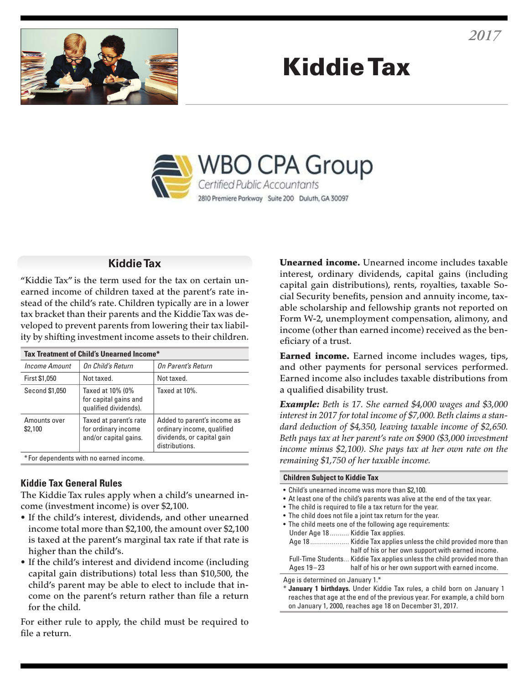

# Kiddie Tax



## **Kiddie Tax**

"Kiddie Tax" is the term used for the tax on certain unearned income of children taxed at the parent's rate instead of the child's rate. Children typically are in a lower tax bracket than their parents and the Kiddie Tax was developed to prevent parents from lowering their tax liability by shifting investment income assets to their children.

| Tax Treatment of Child's Unearned Income* |                                                                        |                                                                                                           |
|-------------------------------------------|------------------------------------------------------------------------|-----------------------------------------------------------------------------------------------------------|
| <b>Income Amount</b>                      | On Child's Return                                                      | On Parent's Return                                                                                        |
| First \$1,050                             | Not taxed.                                                             | Not taxed.                                                                                                |
| Second \$1,050                            | Taxed at 10% (0%<br>for capital gains and<br>qualified dividends).     | Taxed at 10%.                                                                                             |
| Amounts over<br>\$2,100                   | Taxed at parent's rate<br>for ordinary income<br>and/or capital gains. | Added to parent's income as<br>ordinary income, qualified<br>dividends, or capital gain<br>distributions. |
| *For dependents with no earned income.    |                                                                        |                                                                                                           |

## **Kiddie Tax General Rules**

The Kiddie Tax rules apply when a child's unearned income (investment income) is over \$2,100.

- If the child's interest, dividends, and other unearned income total more than \$2,100, the amount over \$2,100 is taxed at the parent's marginal tax rate if that rate is higher than the child's.
- If the child's interest and dividend income (including capital gain distributions) total less than \$10,500, the child's parent may be able to elect to include that income on the parent's return rather than file a return for the child.

For either rule to apply, the child must be required to file a return.

**Unearned income.** Unearned income includes taxable interest, ordinary dividends, capital gains (including capital gain distributions), rents, royalties, taxable Social Security benefits, pension and annuity income, taxable scholarship and fellowship grants not reported on Form W-2, unemployment compensation, alimony, and income (other than earned income) received as the beneficiary of a trust.

Earned income. Earned income includes wages, tips, and other payments for personal services performed. Earned income also includes taxable distributions from a qualified disability trust.

*Example: Beth is 17. She earned \$4,000 wages and \$3,000 interest in 2017 for total income of \$7,000. Beth claims a standard deduction of \$4,350, leaving taxable income of \$2,650. Beth pays tax at her parent's rate on \$900 (\$3,000 investment income minus \$2,100). She pays tax at her own rate on the remaining \$1,750 of her taxable income.*

#### **Children Subject to Kiddie Tax**

- Child's unearned income was more than \$2,100. • At least one of the child's parents was alive at the end of the tax year.
- The child is required to file a tax return for the year.
- The child does not file a joint tax return for the year.
- The child meets one of the following age requirements: Under Age 18 .......... Kiddie Tax applies. Age 18 .................... Kiddie Tax applies unless the child provided more than half of his or her own support with earned income. Full-Time Students... Kiddie Tax applies unless the child provided more than Ages 19–23 half of his or her own support with earned income.

Age is determined on January 1.\*

January 1 birthdays. Under Kiddie Tax rules, a child born on January 1 reaches that age at the end of the previous year. For example, a child born on January 1, 2000, reaches age 18 on December 31, 2017.